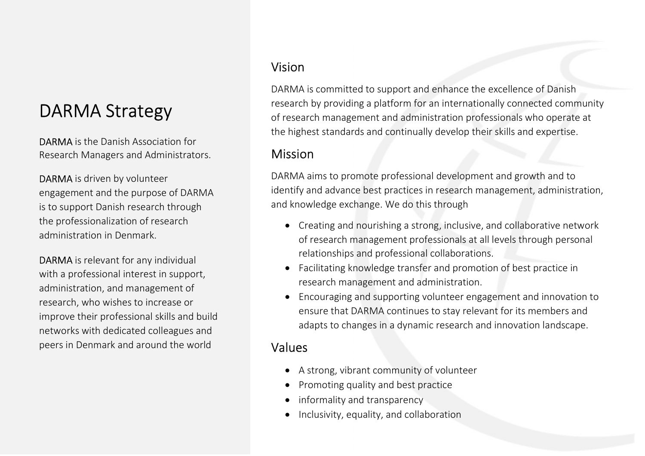## DARMA Strategy

DARMA is the Danish Association for Research Managers and Administrators.

DARMA is driven by volunteer engagement and the purpose of DARMA is to support Danish research through the professionalization of research administration in Denmark.

DARMA is relevant for any individual with a professional interest in support, administration, and management of research, who wishes to increase or improve their professional skills and build networks with dedicated colleagues and peers in Denmark and around the world

### Vision

DARMA is committed to support and enhance the excellence of Danish research by providing a platform for an internationally connected community of research management and administration professionals who operate at the highest standards and continually develop their skills and expertise.

## **Mission**

DARMA aims to promote professional development and growth and to identify and advance best practices in research management, administration, and knowledge exchange. We do this through

- Creating and nourishing a strong, inclusive, and collaborative network of research management professionals at all levels through personal relationships and professional collaborations.
- Facilitating knowledge transfer and promotion of best practice in research management and administration.
- Encouraging and supporting volunteer engagement and innovation to ensure that DARMA continues to stay relevant for its members and adapts to changes in a dynamic research and innovation landscape.

## Values

- A strong, vibrant community of volunteer
- Promoting quality and best practice
- informality and transparency
- Inclusivity, equality, and collaboration